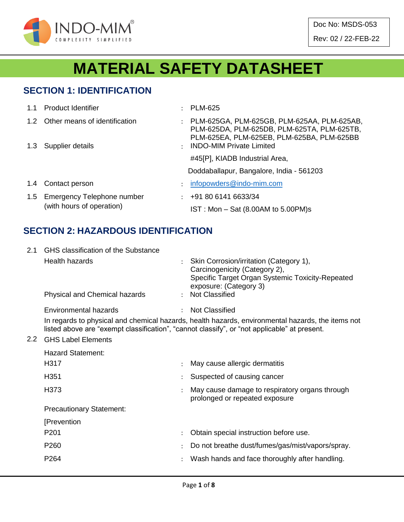

# **MATERIAL SAFETY DATASHEET**

## **SECTION 1: IDENTIFICATION**

| 1.1           | <b>Product Identifier</b>                               | ٠                    | <b>PLM-625</b>                                                                                                                           |
|---------------|---------------------------------------------------------|----------------------|------------------------------------------------------------------------------------------------------------------------------------------|
| $1.2^{\circ}$ | Other means of identification                           | $\ddot{\phantom{a}}$ | PLM-625GA, PLM-625GB, PLM-625AA, PLM-625AB,<br>PLM-625DA, PLM-625DB, PLM-625TA, PLM-625TB,<br>PLM-625EA, PLM-625EB, PLM-625BA, PLM-625BB |
| 1.3           | Supplier details                                        | $\ddot{\phantom{a}}$ | <b>INDO-MIM Private Limited</b>                                                                                                          |
|               |                                                         |                      | #45[P], KIADB Industrial Area,                                                                                                           |
|               |                                                         |                      | Doddaballapur, Bangalore, India - 561203                                                                                                 |
| 1.4           | Contact person                                          | $\ddot{\phantom{a}}$ | infopowders@indo-mim.com                                                                                                                 |
| 1.5           | Emergency Telephone number<br>(with hours of operation) | $\mathcal{L}$        | +91 80 6141 6633/34                                                                                                                      |
|               |                                                         |                      | IST: Mon - Sat (8.00AM to 5.00PM)s                                                                                                       |

## **SECTION 2: HAZARDOUS IDENTIFICATION**

| 2.1           | GHS classification of the Substance |                                                                                                                                                                                                   |
|---------------|-------------------------------------|---------------------------------------------------------------------------------------------------------------------------------------------------------------------------------------------------|
|               | <b>Health hazards</b>               | Skin Corrosion/irritation (Category 1),<br>Carcinogenicity (Category 2),<br>Specific Target Organ Systemic Toxicity-Repeated<br>exposure: (Category 3)                                            |
|               | Physical and Chemical hazards       | : Not Classified                                                                                                                                                                                  |
|               | Environmental hazards               | <b>Not Classified</b>                                                                                                                                                                             |
|               |                                     | In regards to physical and chemical hazards, health hazards, environmental hazards, the items not<br>listed above are "exempt classification", "cannot classify", or "not applicable" at present. |
| $2.2^{\circ}$ | <b>GHS Label Elements</b>           |                                                                                                                                                                                                   |
|               | <b>Hazard Statement:</b>            |                                                                                                                                                                                                   |
|               | H317                                | May cause allergic dermatitis                                                                                                                                                                     |
|               | H351                                | Suspected of causing cancer                                                                                                                                                                       |
|               | H373                                | May cause damage to respiratory organs through<br>prolonged or repeated exposure                                                                                                                  |
|               | <b>Precautionary Statement:</b>     |                                                                                                                                                                                                   |
|               | [Prevention                         |                                                                                                                                                                                                   |
|               | P <sub>201</sub>                    | Obtain special instruction before use.                                                                                                                                                            |
|               | P <sub>260</sub>                    | Do not breathe dust/fumes/gas/mist/vapors/spray.                                                                                                                                                  |
|               | P264                                | Wash hands and face thoroughly after handling.                                                                                                                                                    |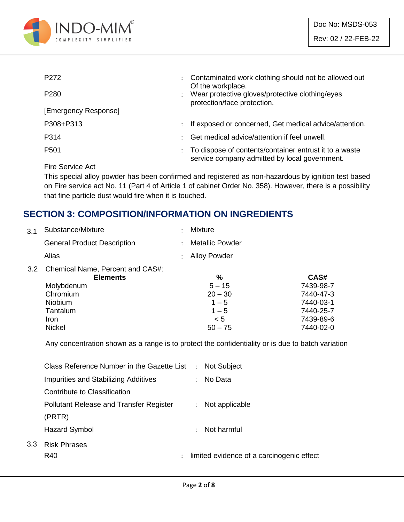

| P <sub>272</sub>                                                                                                                                                                                                                                                                                                                                                                                                                                                                           | ÷                    | Contaminated work clothing should not be allowed out<br>Of the workplace.                               |
|--------------------------------------------------------------------------------------------------------------------------------------------------------------------------------------------------------------------------------------------------------------------------------------------------------------------------------------------------------------------------------------------------------------------------------------------------------------------------------------------|----------------------|---------------------------------------------------------------------------------------------------------|
| P <sub>280</sub>                                                                                                                                                                                                                                                                                                                                                                                                                                                                           |                      | Wear protective gloves/protective clothing/eyes<br>protection/face protection.                          |
| [Emergency Response]                                                                                                                                                                                                                                                                                                                                                                                                                                                                       |                      |                                                                                                         |
| P308+P313                                                                                                                                                                                                                                                                                                                                                                                                                                                                                  | $\ddot{\phantom{0}}$ | If exposed or concerned, Get medical advice/attention.                                                  |
| P314                                                                                                                                                                                                                                                                                                                                                                                                                                                                                       | ٠                    | Get medical advice/attention if feel unwell.                                                            |
| P <sub>501</sub>                                                                                                                                                                                                                                                                                                                                                                                                                                                                           | ÷                    | To dispose of contents/container entrust it to a waste<br>service company admitted by local government. |
| $\blacksquare$ $\blacksquare$ $\blacksquare$ $\blacksquare$ $\blacksquare$ $\blacksquare$ $\blacksquare$ $\blacksquare$ $\blacksquare$ $\blacksquare$ $\blacksquare$ $\blacksquare$ $\blacksquare$ $\blacksquare$ $\blacksquare$ $\blacksquare$ $\blacksquare$ $\blacksquare$ $\blacksquare$ $\blacksquare$ $\blacksquare$ $\blacksquare$ $\blacksquare$ $\blacksquare$ $\blacksquare$ $\blacksquare$ $\blacksquare$ $\blacksquare$ $\blacksquare$ $\blacksquare$ $\blacksquare$ $\blacks$ |                      |                                                                                                         |

Fire Service Act

 $3.3$ 

This special alloy powder has been confirmed and registered as non-hazardous by ignition test based on Fire service act No. 11 (Part 4 of Article 1 of cabinet Order No. 358). However, there is a possibility that fine particle dust would fire when it is touched.

## **SECTION 3: COMPOSITION/INFORMATION ON INGREDIENTS**

| 3.1 Substance/Mixture                | : Mixture         |
|--------------------------------------|-------------------|
| <b>General Product Description</b>   | : Metallic Powder |
| Alias                                | : Alloy Powder    |
| 3.2 Chemical Name, Percent and CAS#: |                   |

|               | <b>Elements</b> | $\frac{0}{0}$ | CAS#      |
|---------------|-----------------|---------------|-----------|
| Molybdenum    |                 | $5 - 15$      | 7439-98-7 |
| Chromium      |                 | $20 - 30$     | 7440-47-3 |
| Niobium       |                 | $1 - 5$       | 7440-03-1 |
| Tantalum      |                 | $1 - 5$       | 7440-25-7 |
| Iron          |                 | $\leq 5$      | 7439-89-6 |
| <b>Nickel</b> |                 | $50 - 75$     | 7440-02-0 |

Any concentration shown as a range is to protect the confidentiality or is due to batch variation

| Class Reference Number in the Gazette List     |                      | : Not Subject                             |
|------------------------------------------------|----------------------|-------------------------------------------|
| <b>Impurities and Stabilizing Additives</b>    | $\mathcal{L}$        | No Data                                   |
| Contribute to Classification                   |                      |                                           |
| <b>Pollutant Release and Transfer Register</b> | $\ddot{\phantom{0}}$ | Not applicable                            |
| (PRTR)                                         |                      |                                           |
| <b>Hazard Symbol</b>                           |                      | Not harmful                               |
| <b>Risk Phrases</b>                            |                      |                                           |
| R40                                            |                      | limited evidence of a carcinogenic effect |
|                                                |                      |                                           |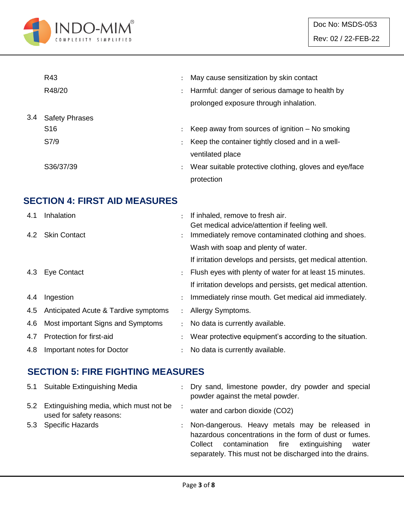

|     | R43                   |                      | May cause sensitization by skin contact                |
|-----|-----------------------|----------------------|--------------------------------------------------------|
|     | R48/20                | $\ddot{\phantom{0}}$ | Harmful: danger of serious damage to health by         |
|     |                       |                      | prolonged exposure through inhalation.                 |
| 3.4 | <b>Safety Phrases</b> |                      |                                                        |
|     | S <sub>16</sub>       |                      | Keep away from sources of ignition $-$ No smoking      |
|     | S7/9                  |                      | Keep the container tightly closed and in a well-       |
|     |                       |                      | ventilated place                                       |
|     | S36/37/39             | $\ddot{\phantom{a}}$ | Wear suitable protective clothing, gloves and eye/face |
|     |                       |                      | protection                                             |

## **SECTION 4: FIRST AID MEASURES**

| 4.1 | Inhalation                               |                      | If inhaled, remove to fresh air.                            |
|-----|------------------------------------------|----------------------|-------------------------------------------------------------|
|     |                                          |                      | Get medical advice/attention if feeling well.               |
|     | 4.2 Skin Contact                         |                      | Immediately remove contaminated clothing and shoes.         |
|     |                                          |                      | Wash with soap and plenty of water.                         |
|     |                                          |                      | If irritation develops and persists, get medical attention. |
|     | 4.3 Eye Contact                          |                      | Flush eyes with plenty of water for at least 15 minutes.    |
|     |                                          |                      | If irritation develops and persists, get medical attention. |
| 4.4 | Ingestion                                |                      | Immediately rinse mouth. Get medical aid immediately.       |
|     | 4.5 Anticipated Acute & Tardive symptoms | $\ddot{\phantom{0}}$ | Allergy Symptoms.                                           |
| 4.6 | Most important Signs and Symptoms        |                      | No data is currently available.                             |
| 4.7 | Protection for first-aid                 |                      | Wear protective equipment's according to the situation.     |
| 4.8 | Important notes for Doctor               |                      | No data is currently available.                             |

## **SECTION 5: FIRE FIGHTING MEASURES**

| 5.1 Suitable Extinguishing Media                                       | : Dry sand, limestone powder, dry powder and special<br>powder against the metal powder.                                                                                                                                          |
|------------------------------------------------------------------------|-----------------------------------------------------------------------------------------------------------------------------------------------------------------------------------------------------------------------------------|
| 5.2 Extinguishing media, which must not be<br>used for safety reasons: | water and carbon dioxide (CO2)                                                                                                                                                                                                    |
| 5.3 Specific Hazards                                                   | : Non-dangerous. Heavy metals may be released in<br>hazardous concentrations in the form of dust or fumes.<br>contamination fire<br>extinguishing<br>Collect<br>water<br>separately. This must not be discharged into the drains. |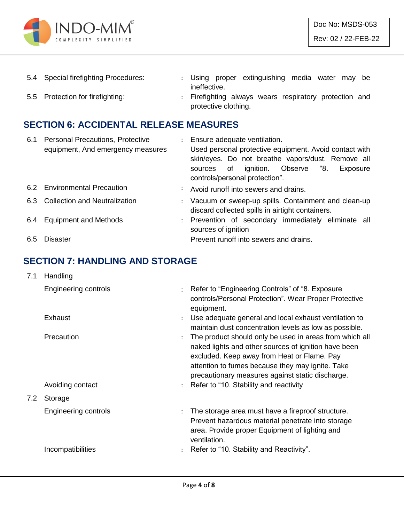

| 5.4 Special firefighting Procedures: |                      |  | : Using proper extinguishing media water may be        |  |  |  |
|--------------------------------------|----------------------|--|--------------------------------------------------------|--|--|--|
|                                      | ineffective.         |  |                                                        |  |  |  |
| 5.5 Protection for firefighting:     |                      |  | : Firefighting always wears respiratory protection and |  |  |  |
|                                      | protective clothing. |  |                                                        |  |  |  |

## **SECTION 6: ACCIDENTAL RELEASE MEASURES**

| 6.1 | <b>Personal Precautions, Protective</b> | $\mathcal{L}$ | Ensure adequate ventilation.                           |
|-----|-----------------------------------------|---------------|--------------------------------------------------------|
|     | equipment, And emergency measures       |               | Used personal protective equipment. Avoid contact with |
|     |                                         |               | skin/eyes. Do not breathe vapors/dust. Remove all      |
|     |                                         |               | ignition. Observe "8.<br>of<br>Exposure<br>sources     |
|     |                                         |               | controls/personal protection".                         |
|     | 6.2 Environmental Precaution            |               | Avoid runoff into sewers and drains.                   |
|     | 6.3 Collection and Neutralization       |               | : Vacuum or sweep-up spills. Containment and clean-up  |
|     |                                         |               | discard collected spills in airtight containers.       |
| 6.4 | <b>Equipment and Methods</b>            |               | : Prevention of secondary immediately eliminate all    |
|     |                                         |               | sources of ignition                                    |
| 6.5 | <b>Disaster</b>                         |               | Prevent runoff into sewers and drains.                 |

## **SECTION 7: HANDLING AND STORAGE**

| 7.1 | Handling                       |                      |                                                                                                                                                                                                                                                                                                                    |
|-----|--------------------------------|----------------------|--------------------------------------------------------------------------------------------------------------------------------------------------------------------------------------------------------------------------------------------------------------------------------------------------------------------|
|     | Engineering controls           |                      | : Refer to "Engineering Controls" of "8. Exposure<br>controls/Personal Protection". Wear Proper Protective<br>equipment.                                                                                                                                                                                           |
|     | Exhaust                        | $\ddot{\phantom{a}}$ | Use adequate general and local exhaust ventilation to<br>maintain dust concentration levels as low as possible.                                                                                                                                                                                                    |
|     | Precaution<br>Avoiding contact |                      | The product should only be used in areas from which all<br>naked lights and other sources of ignition have been<br>excluded. Keep away from Heat or Flame. Pay<br>attention to fumes because they may ignite. Take<br>precautionary measures against static discharge.<br>: Refer to "10. Stability and reactivity |
| 7.2 | Storage                        |                      |                                                                                                                                                                                                                                                                                                                    |
|     | Engineering controls           | $\ddot{\phantom{a}}$ | The storage area must have a fireproof structure.<br>Prevent hazardous material penetrate into storage<br>area. Provide proper Equipment of lighting and<br>ventilation.                                                                                                                                           |
|     | Incompatibilities              |                      | Refer to "10. Stability and Reactivity".                                                                                                                                                                                                                                                                           |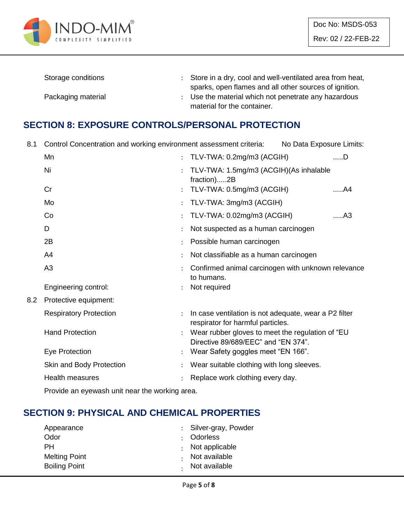

| Storage conditions | : Store in a dry, cool and well-ventilated area from heat, |
|--------------------|------------------------------------------------------------|
|                    | sparks, open flames and all other sources of ignition.     |
| Packaging material | Use the material which not penetrate any hazardous         |
|                    | material for the container.                                |

#### **SECTION 8: EXPOSURE CONTROLS/PERSONAL PROTECTION**

8.1 Control Concentration and working environment assessment criteria: No Data Exposure Limits:

|     | Mn                            | TLV-TWA: 0.2mg/m3 (ACGIH)                                                                  | $$ D           |
|-----|-------------------------------|--------------------------------------------------------------------------------------------|----------------|
|     | Ni                            | TLV-TWA: 1.5mg/m3 (ACGIH)(As inhalable<br>fraction)2B                                      |                |
|     | Cr                            | TLV-TWA: 0.5mg/m3 (ACGIH)                                                                  | A4             |
|     | Mo                            | TLV-TWA: 3mg/m3 (ACGIH)                                                                    |                |
|     | Co                            | TLV-TWA: 0.02mg/m3 (ACGIH)                                                                 | A <sub>3</sub> |
|     | D                             | Not suspected as a human carcinogen                                                        |                |
|     | 2B                            | Possible human carcinogen                                                                  |                |
|     | A4                            | Not classifiable as a human carcinogen                                                     |                |
|     | A <sub>3</sub>                | Confirmed animal carcinogen with unknown relevance<br>to humans.                           |                |
|     | Engineering control:          | Not required                                                                               |                |
| 8.2 | Protective equipment:         |                                                                                            |                |
|     | <b>Respiratory Protection</b> | In case ventilation is not adequate, wear a P2 filter<br>respirator for harmful particles. |                |
|     | <b>Hand Protection</b>        | Wear rubber gloves to meet the regulation of "EU<br>Directive 89/689/EEC" and "EN 374".    |                |
|     | Eye Protection                | Wear Safety goggles meet "EN 166".                                                         |                |
|     | Skin and Body Protection      | Wear suitable clothing with long sleeves.                                                  |                |
|     | <b>Health measures</b>        | Replace work clothing every day.                                                           |                |
|     |                               |                                                                                            |                |

Provide an eyewash unit near the working area.

## **SECTION 9: PHYSICAL AND CHEMICAL PROPERTIES**

| : Silver-gray, Powder  |
|------------------------|
| : Odorless             |
| $\cdot$ Not applicable |
| Not available          |
| . Not available        |
|                        |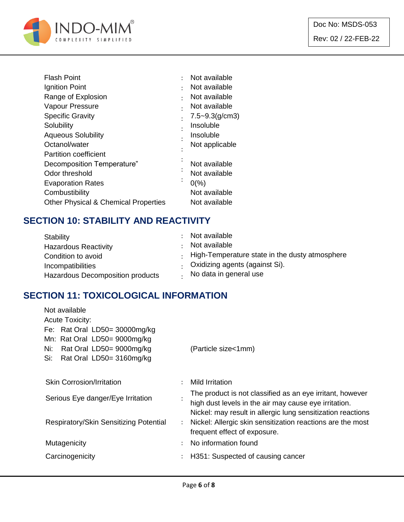

| <b>Flash Point</b>                              | Not available       |
|-------------------------------------------------|---------------------|
| Ignition Point                                  | Not available       |
| Range of Explosion                              | Not available       |
| Vapour Pressure                                 | Not available       |
| <b>Specific Gravity</b>                         | $7.5 - 9.3$ (g/cm3) |
| Solubility                                      | Insoluble           |
| <b>Aqueous Solubility</b>                       | Insoluble           |
| Octanol/water                                   | Not applicable      |
| <b>Partition coefficient</b>                    |                     |
| Decomposition Temperature"                      | Not available       |
| Odor threshold                                  | Not available       |
| <b>Evaporation Rates</b>                        | $0\frac{9}{6}$      |
| Combustibility                                  | Not available       |
| <b>Other Physical &amp; Chemical Properties</b> | Not available       |

## **SECTION 10: STABILITY AND REACTIVITY**

| Stability                        | Not available                                        |
|----------------------------------|------------------------------------------------------|
| <b>Hazardous Reactivity</b>      | Not available                                        |
| Condition to avoid               | $\pm$ High-Temperature state in the dusty atmosphere |
| Incompatibilities                | Oxidizing agents (against Si).                       |
| Hazardous Decomposition products | No data in general use                               |

## **SECTION 11: TOXICOLOGICAL INFORMATION**

| Not available                          |                      |                                                             |
|----------------------------------------|----------------------|-------------------------------------------------------------|
| <b>Acute Toxicity:</b>                 |                      |                                                             |
| Fe: Rat Oral LD50= 30000mg/kg          |                      |                                                             |
| Mn: Rat Oral LD50= 9000mg/kg           |                      |                                                             |
| Rat Oral LD50= 9000mg/kg<br>Ni:        |                      | (Particle size<1mm)                                         |
| Rat Oral LD50= 3160mg/kg<br>Si:        |                      |                                                             |
|                                        |                      |                                                             |
| <b>Skin Corrosion/Irritation</b>       | ÷                    | Mild Irritation                                             |
| Serious Eye danger/Eye Irritation      |                      | The product is not classified as an eye irritant, however   |
|                                        |                      | high dust levels in the air may cause eye irritation.       |
|                                        |                      | Nickel: may result in allergic lung sensitization reactions |
| Respiratory/Skin Sensitizing Potential | $\ddot{\phantom{0}}$ | Nickel: Allergic skin sensitization reactions are the most  |
|                                        |                      | frequent effect of exposure.                                |
| Mutagenicity                           | $\bullet$            | No information found                                        |
| Carcinogenicity                        | ÷                    | H351: Suspected of causing cancer                           |
|                                        |                      |                                                             |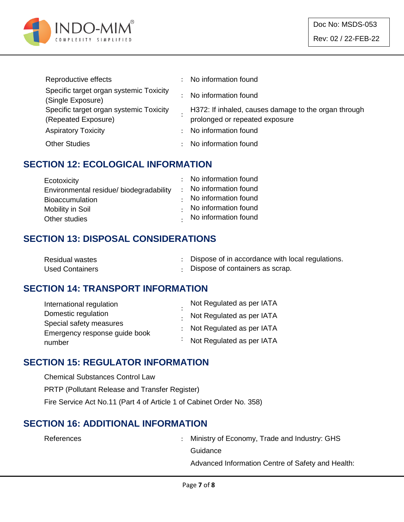

| Reproductive effects                                           |    | No information found                                                                   |
|----------------------------------------------------------------|----|----------------------------------------------------------------------------------------|
| Specific target organ systemic Toxicity<br>(Single Exposure)   |    | No information found                                                                   |
| Specific target organ systemic Toxicity<br>(Repeated Exposure) |    | H372: If inhaled, causes damage to the organ through<br>prolonged or repeated exposure |
| <b>Aspiratory Toxicity</b>                                     | ÷. | No information found                                                                   |
| <b>Other Studies</b>                                           |    | No information found                                                                   |

#### **SECTION 12: ECOLOGICAL INFORMATION**

| Ecotoxicity                            | : No information found |
|----------------------------------------|------------------------|
| Environmental residue/biodegradability | : No information found |
| <b>Bioaccumulation</b>                 | No information found   |
| Mobility in Soil                       | No information found   |
| Other studies                          | . No information found |

#### **SECTION 13: DISPOSAL CONSIDERATIONS**

| <b>Residual wastes</b> | Dispose of in accordance with local regulations. |
|------------------------|--------------------------------------------------|
| <b>Used Containers</b> | Dispose of containers as scrap.                  |

#### **SECTION 14: TRANSPORT INFORMATION**

| International regulation      | Not Regulated as per IATA   |
|-------------------------------|-----------------------------|
| Domestic regulation           | Not Regulated as per IATA   |
| Special safety measures       | : Not Regulated as per IATA |
| Emergency response guide book |                             |
| number                        | : Not Regulated as per IATA |

#### **SECTION 15: REGULATOR INFORMATION**

Chemical Substances Control Law PRTP (Pollutant Release and Transfer Register) Fire Service Act No.11 (Part 4 of Article 1 of Cabinet Order No. 358)

#### **SECTION 16: ADDITIONAL INFORMATION**

References : Ministry of Economy, Trade and Industry: GHS **Guidance** 

Advanced Information Centre of Safety and Health: